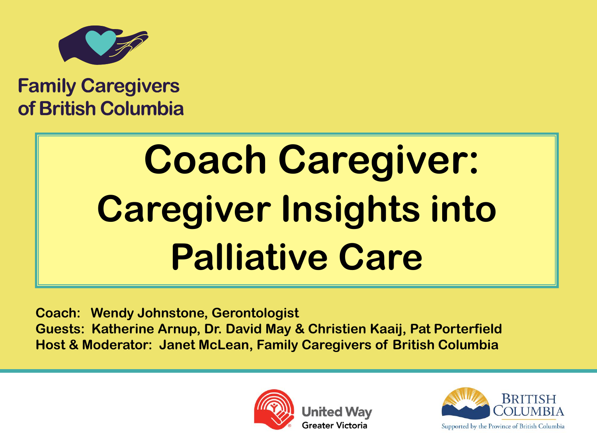

### **Family Caregivers** of British Columbia

# **Coach Caregiver: Caregiver Insights into Palliative Care**

**Coach: Wendy Johnstone, Gerontologist Guests: Katherine Arnup, Dr. David May & Christien Kaaij, Pat Porterfield Host & Moderator: Janet McLean, Family Caregivers of British Columbia** 



United Wav Greater Victoria

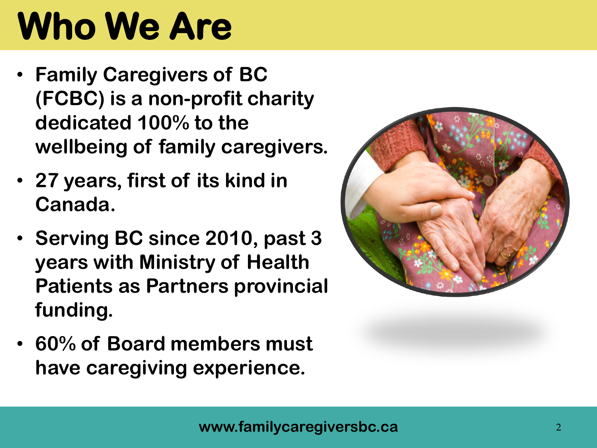## **Who We Are**

- **Family Caregivers of BC (FCBC) is a non-profit charity dedicated 100% to the wellbeing of family caregivers.**
- **27 years, first of its kind in Canada.**
- **Serving BC since 2010, past 3 years with Ministry of Health Patients as Partners provincial funding.**
- **60% of Board members must have caregiving experience.**

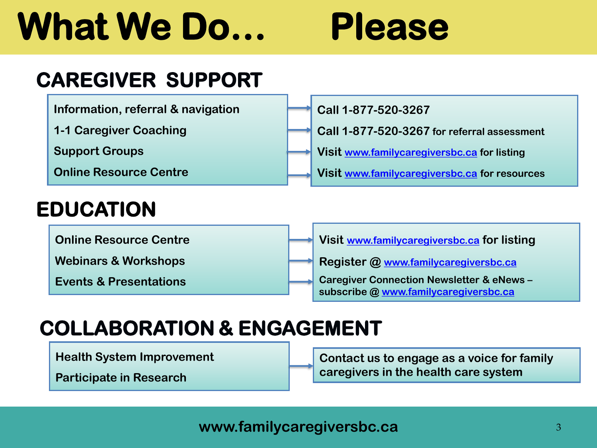## **What We Do… Please**

**Call 1-877-520-3267**

### **CAREGIVER SUPPORT**

**Information, referral & navigation**

**1-1 Caregiver Coaching**

**Support Groups**

**Online Resource Centre**

### **EDUCATION**

**Online Resource Centre**

**Webinars & Workshops**

**Events & Presentations**

**Visit [www.familycaregiversbc.ca](http://www.familycaregiversbc.ca/) for listing Visit [www.familycaregiversbc.ca](http://www.familycaregiversbc.ca/) for resources**

**Call 1-877-520-3267 for referral assessment**

**Visit [www.familycaregiversbc.ca](http://www.familycaregiversbc.ca/) for listing**

**Register @ [www.familycaregiversbc.ca](http://www.familycaregiversbc.ca/)**

**Caregiver Connection Newsletter & eNews – subscribe @ [www.familycaregiversbc.ca](http://www.familycaregiversbc.ca/)**

### **COLLABORATION & ENGAGEMENT**

**Health System Improvement**

**Contact us to engage as a voice for family caregivers in the health care system**

**Participate in Research**

**www.familycaregiversbc.ca** <sup>3</sup>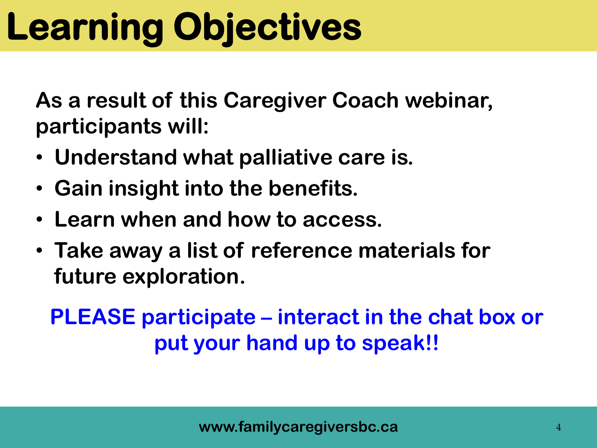## **Learning Objectives**

**As a result of this Caregiver Coach webinar, participants will:** 

- **Understand what palliative care is.**
- **Gain insight into the benefits.**
- **Learn when and how to access.**
- **Take away a list of reference materials for future exploration.**

### **PLEASE participate – interact in the chat box or put your hand up to speak!!**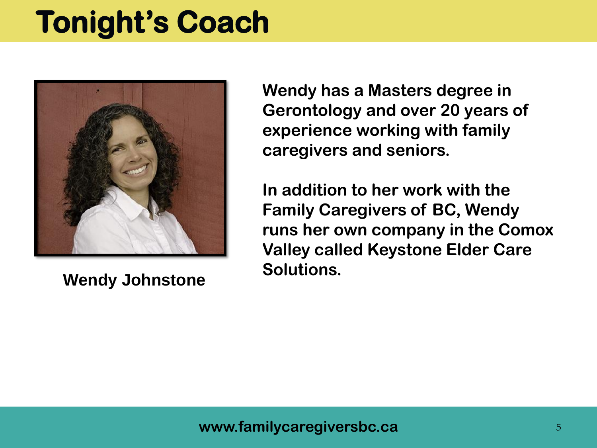## **Tonight's Coach**



**Wendy Johnstone**

**Wendy has a Masters degree in Gerontology and over 20 years of experience working with family caregivers and seniors.**

**In addition to her work with the Family Caregivers of BC, Wendy runs her own company in the Comox Valley called Keystone Elder Care Solutions.**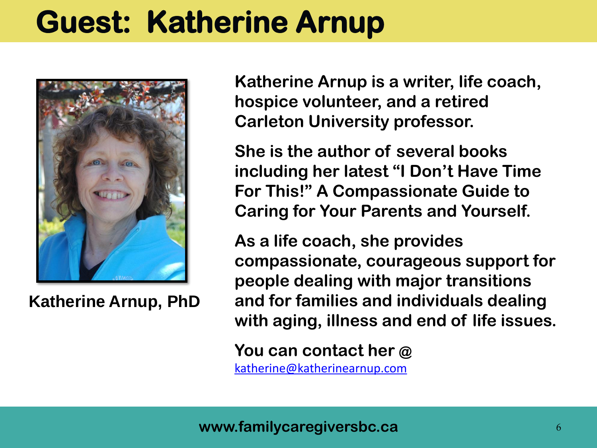## **Guest: Katherine Arnup**



**Katherine Arnup, PhD**

**Katherine Arnup is a writer, life coach, hospice volunteer, and a retired Carleton University professor.** 

**She is the author of several books including her latest "I Don't Have Time For This!" A Compassionate Guide to Caring for Your Parents and Yourself.**

**As a life coach, she provides compassionate, courageous support for people dealing with major transitions and for families and individuals dealing with aging, illness and end of life issues.** 

**You can contact her @** 

[katherine@katherinearnup.com](mailto:katherine@katherinearnup.com)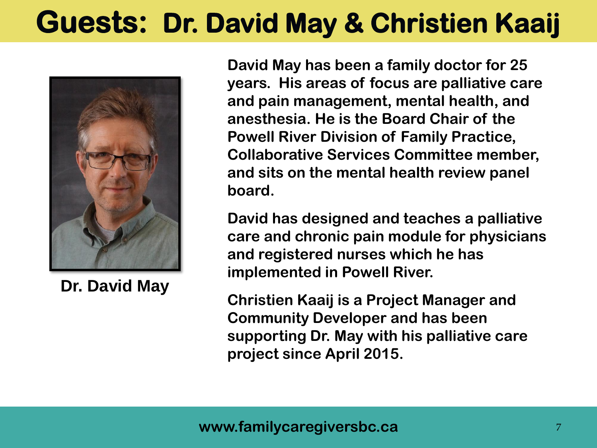### **Guests: Dr. David May & Christien Kaaij**



**Dr. David May**

**David May has been a family doctor for 25 years. His areas of focus are palliative care and pain management, mental health, and anesthesia. He is the Board Chair of the Powell River Division of Family Practice, Collaborative Services Committee member, and sits on the mental health review panel board.** 

**David has designed and teaches a palliative care and chronic pain module for physicians and registered nurses which he has implemented in Powell River.** 

**Christien Kaaij is a Project Manager and Community Developer and has been supporting Dr. May with his palliative care project since April 2015.**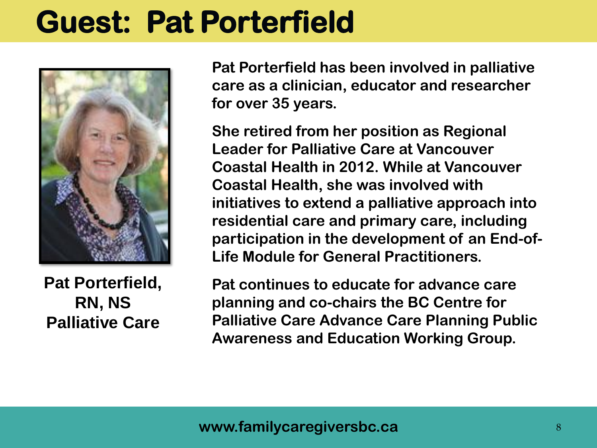### **Guest: Pat Porterfield**



**Pat Porterfield, RN, NS Palliative Care**

**Pat Porterfield has been involved in palliative care as a clinician, educator and researcher for over 35 years.** 

**She retired from her position as Regional Leader for Palliative Care at Vancouver Coastal Health in 2012. While at Vancouver Coastal Health, she was involved with initiatives to extend a palliative approach into residential care and primary care, including participation in the development of an End-of-Life Module for General Practitioners.** 

**Pat continues to educate for advance care planning and co-chairs the BC Centre for Palliative Care Advance Care Planning Public Awareness and Education Working Group.**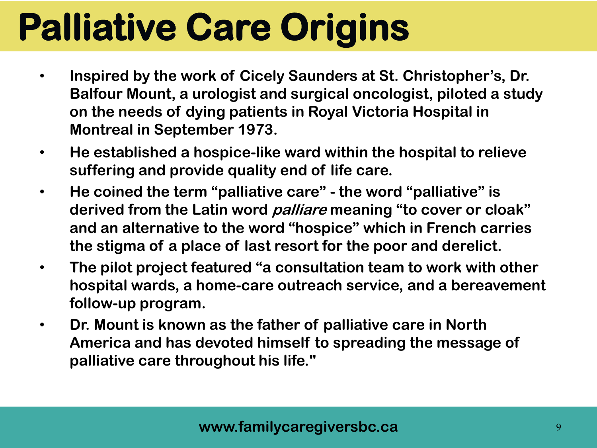## **Palliative Care Origins**

- **Inspired by the work of Cicely Saunders at St. Christopher's, Dr. Balfour Mount, a urologist and surgical oncologist, piloted a study on the needs of dying patients in Royal Victoria Hospital in Montreal in September 1973.**
- **He established a hospice-like ward within the hospital to relieve suffering and provide quality end of life care.**
- **He coined the term "palliative care" - the word "palliative" is derived from the Latin word palliare meaning "to cover or cloak" and an alternative to the word "hospice" which in French carries the stigma of a place of last resort for the poor and derelict.**
- **The pilot project featured "a consultation team to work with other hospital wards, a home-care outreach service, and a bereavement follow-up program.**
- **Dr. Mount is known as the father of palliative care in North America and has devoted himself to spreading the message of palliative care throughout his life."**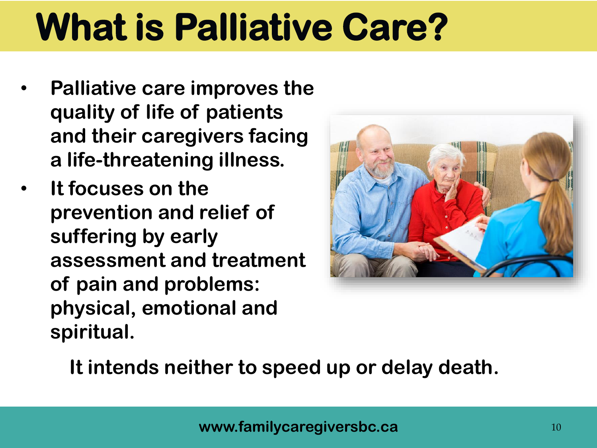## **What is Palliative Care?**

- **Palliative care improves the quality of life of patients and their caregivers facing a life-threatening illness.**
- **It focuses on the prevention and relief of suffering by early assessment and treatment of pain and problems: physical, emotional and spiritual.**



**It intends neither to speed up or delay death.**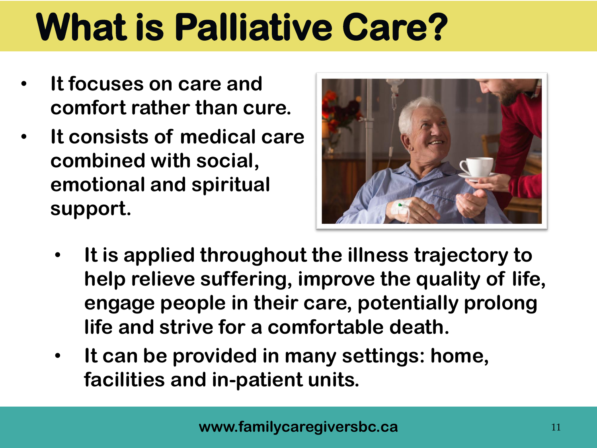## **What is Palliative Care?**

- **It focuses on care and comfort rather than cure.**
- **It consists of medical care combined with social, emotional and spiritual support.**



- **It is applied throughout the illness trajectory to help relieve suffering, improve the quality of life, engage people in their care, potentially prolong life and strive for a comfortable death.**
- **It can be provided in many settings: home, facilities and in-patient units.**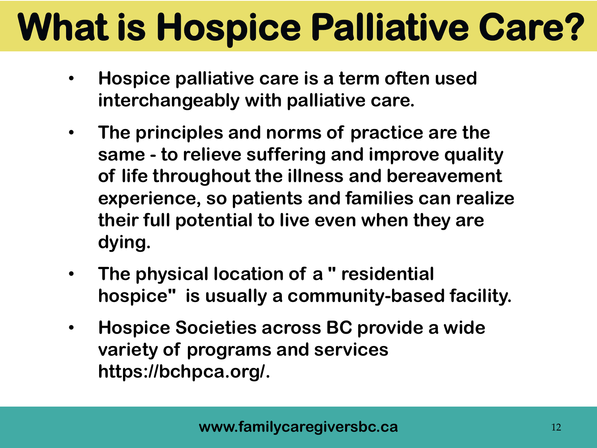## **What is Hospice Palliative Care?**

- **Hospice palliative care is a term often used interchangeably with palliative care.**
- **The principles and norms of practice are the same - to relieve suffering and improve quality of life throughout the illness and bereavement experience, so patients and families can realize their full potential to live even when they are dying.**
- **The physical location of a " residential hospice" is usually a community-based facility.**
- **Hospice Societies across BC provide a wide variety of programs and services https://bchpca.org/.**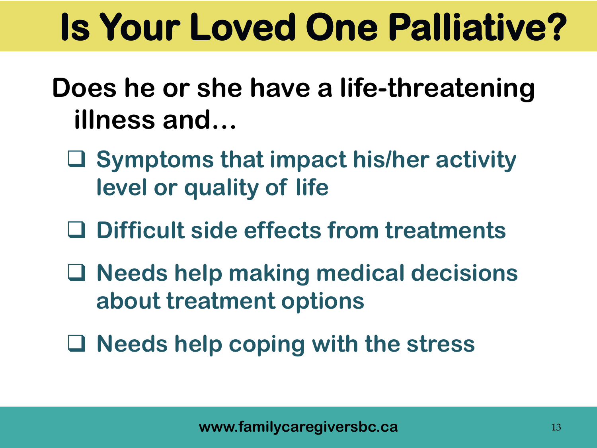## **Is Your Loved One Palliative?**

- **Does he or she have a life-threatening illness and…**
	- **Symptoms that impact his/her activity level or quality of life**
	- **Difficult side effects from treatments**
	- **Needs help making medical decisions about treatment options**
	- **Needs help coping with the stress**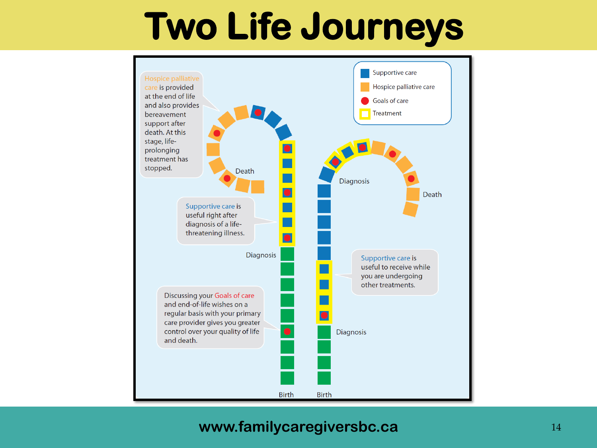## **Two Life Journeys**



#### **www.familycaregiversbc.ca** 14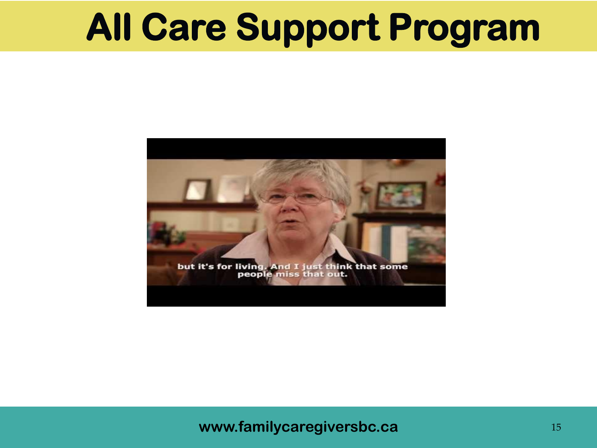## **All Care Support Program**



### **www.familycaregiversbc.ca family of the state of the state of the state of the state of the state of the state of the state of the state of the state of the state of the state of the state of the state of the state of t**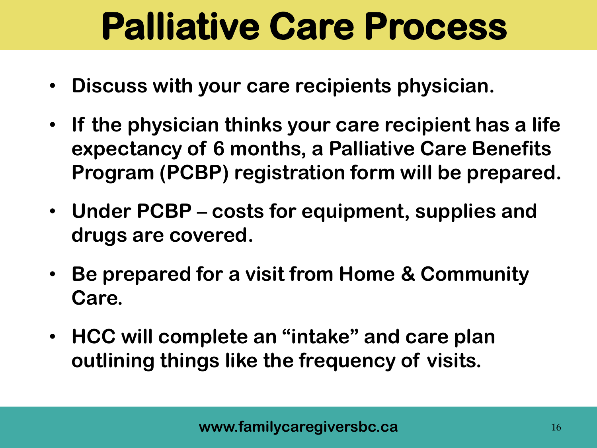## **Palliative Care Process**

- **Discuss with your care recipients physician.**
- **If the physician thinks your care recipient has a life expectancy of 6 months, a Palliative Care Benefits Program (PCBP) registration form will be prepared.**
- **Under PCBP – costs for equipment, supplies and drugs are covered.**
- **Be prepared for a visit from Home & Community Care.**
- **HCC will complete an "intake" and care plan outlining things like the frequency of visits.**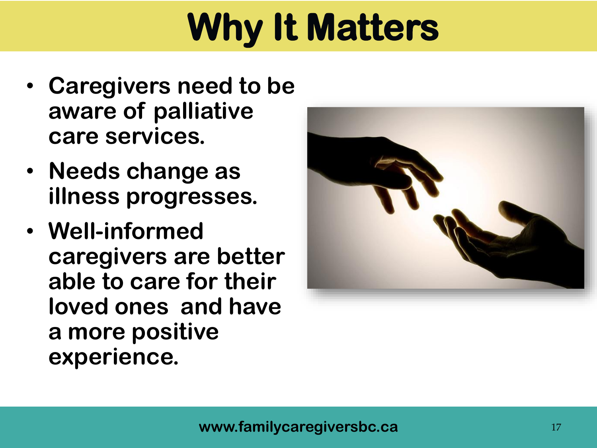## **Why It Matters**

- **Caregivers need to be aware of palliative care services.**
- **Needs change as illness progresses.**
- **Well-informed caregivers are better able to care for their loved ones and have a more positive experience.**

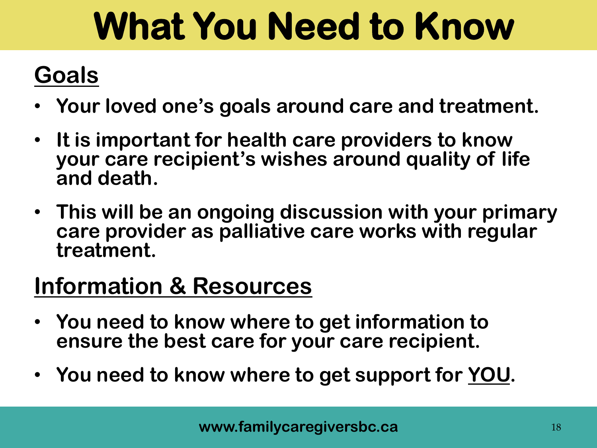## **What You Need to Know**

### **Goals**

- **Your loved one's goals around care and treatment.**
- **It is important for health care providers to know your care recipient's wishes around quality of life and death.**
- **This will be an ongoing discussion with your primary care provider as palliative care works with regular treatment.**

### **Information & Resources**

- **You need to know where to get information to ensure the best care for your care recipient.**
- **You need to know where to get support for YOU.**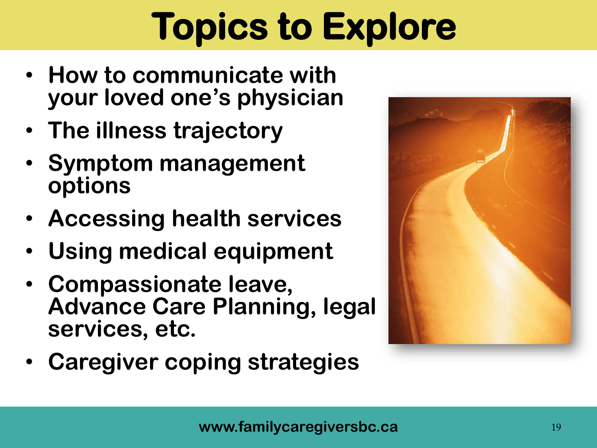## **Topics to Explore**

- **How to communicate with your loved one's physician**
- **The illness trajectory**
- **Symptom management options**
- **Accessing health services**
- **Using medical equipment**
- **Compassionate leave, Advance Care Planning, legal services, etc.**
- **Caregiver coping strategies**

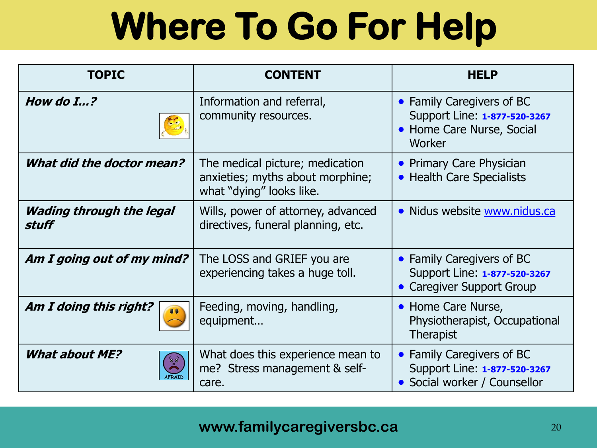## **Where To Go For Help**

| <b>TOPIC</b>                             | <b>CONTENT</b>                                                                                  | <b>HELP</b>                                                                                      |
|------------------------------------------|-------------------------------------------------------------------------------------------------|--------------------------------------------------------------------------------------------------|
| How do $I_{\cdots}$ ?                    | Information and referral,<br>community resources.                                               | • Family Caregivers of BC<br>Support Line: 1-877-520-3267<br>• Home Care Nurse, Social<br>Worker |
| What did the doctor mean?                | The medical picture; medication<br>anxieties; myths about morphine;<br>what "dying" looks like. | • Primary Care Physician<br>• Health Care Specialists                                            |
| <b>Wading through the legal</b><br>stuff | Wills, power of attorney, advanced<br>directives, funeral planning, etc.                        | • Nidus website www.nidus.ca                                                                     |
| Am I going out of my mind?               | The LOSS and GRIEF you are<br>experiencing takes a huge toll.                                   | • Family Caregivers of BC<br>Support Line: 1-877-520-3267<br>• Caregiver Support Group           |
| Am I doing this right?                   | Feeding, moving, handling,<br>equipment                                                         | • Home Care Nurse,<br>Physiotherapist, Occupational<br><b>Therapist</b>                          |
| <b>What about ME?</b><br>်စ့်            | What does this experience mean to<br>me? Stress management & self-<br>care.                     | • Family Caregivers of BC<br>Support Line: 1-877-520-3267<br>• Social worker / Counsellor        |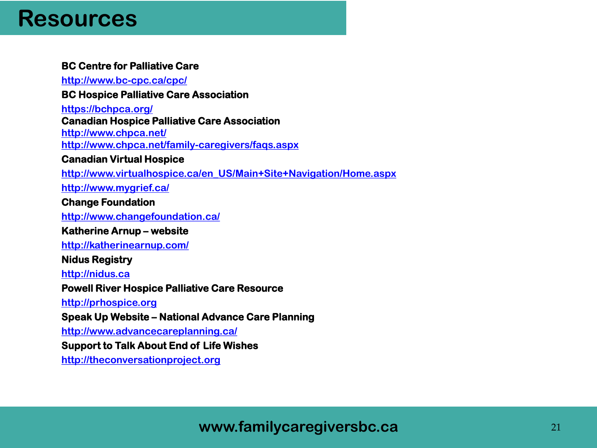### **Resources**

#### **BC Centre for Palliative Care**

**<http://www.bc-cpc.ca/cpc/>**

#### **BC Hospice Palliative Care Association**

**<https://bchpca.org/> Canadian Hospice Palliative Care Association <http://www.chpca.net/> <http://www.chpca.net/family-caregivers/faqs.aspx>**

#### **Canadian Virtual Hospice**

**[http://www.virtualhospice.ca/en\\_US/Main+Site+Navigation/Home.aspx](http://www.mygrief.ca/)**

**<http://www.mygrief.ca/>**

#### **Change Foundation**

**<http://www.changefoundation.ca/>**

#### **Katherine Arnup – website**

**<http://katherinearnup.com/>**

#### **Nidus Registry**

#### **[http://nidus.ca](http://nidus.ca/)**

#### **Powell River Hospice Palliative Care Resource**

**[http://prhospice.org](http://prhospice.org/)**

#### **Speak Up Website – National Advance Care Planning**

**<http://www.advancecareplanning.ca/>**

#### **Support to Talk About End of Life Wishes**

**[http://theconversationproject.org](http://theconversationproject.org/)**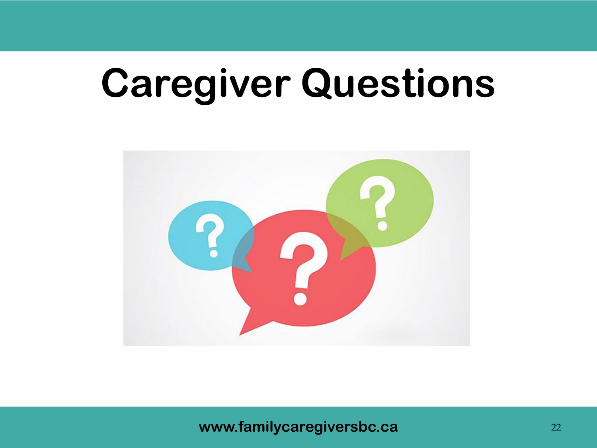## **Caregiver Questions**



**www.familycaregiversbc.ca** 22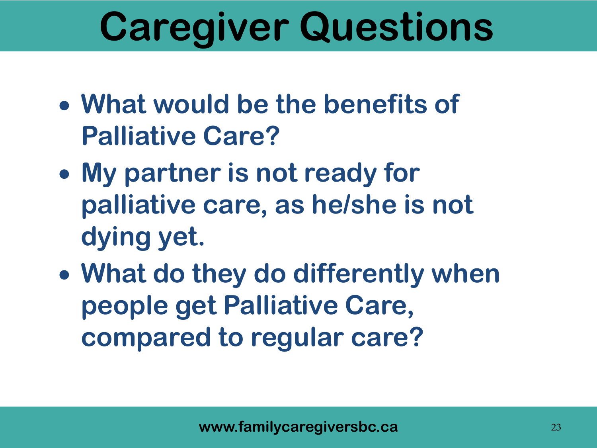## **Caregiver Questions**

- **What would be the benefits of Palliative Care?**
- **My partner is not ready for palliative care, as he/she is not dying yet.**
- **What do they do differently when people get Palliative Care, compared to regular care?**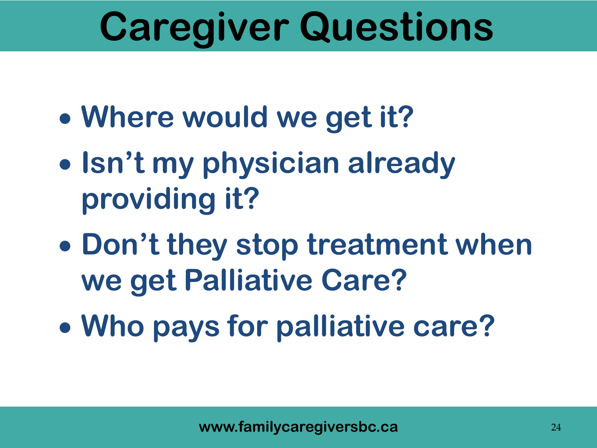## **Caregiver Questions**

- **Where would we get it?**
- **Isn't my physician already providing it?**
- **Don't they stop treatment when we get Palliative Care?**
- **Who pays for palliative care?**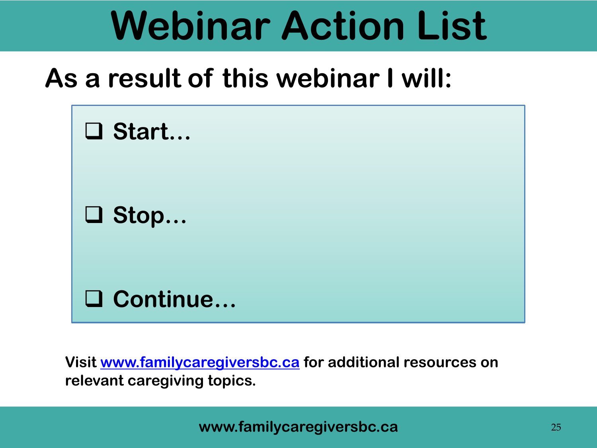## **Webinar Action List**

### **As a result of this webinar I will:**



**Visit [www.familycaregiversbc.ca](http://www.familycaregiversbc.ca/) for additional resources on relevant caregiving topics.**